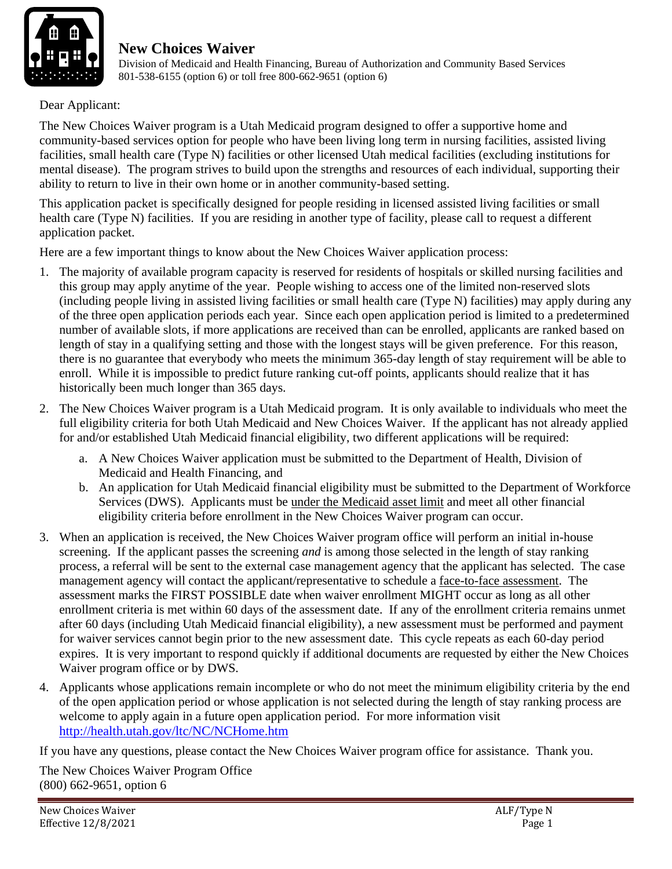

 Division of Medicaid and Health Financing, Bureau of Authorization and Community Based Services 801-538-6155 (option 6) or toll free 800-662-9651 (option 6)

Dear Applicant:

The New Choices Waiver program is a Utah Medicaid program designed to offer a supportive home and community-based services option for people who have been living long term in nursing facilities, assisted living facilities, small health care (Type N) facilities or other licensed Utah medical facilities (excluding institutions for mental disease). The program strives to build upon the strengths and resources of each individual, supporting their ability to return to live in their own home or in another community-based setting.

This application packet is specifically designed for people residing in licensed assisted living facilities or small health care (Type N) facilities. If you are residing in another type of facility, please call to request a different application packet.

Here are a few important things to know about the New Choices Waiver application process:

- 1. The majority of available program capacity is reserved for residents of hospitals or skilled nursing facilities and this group may apply anytime of the year. People wishing to access one of the limited non-reserved slots (including people living in assisted living facilities or small health care (Type N) facilities) may apply during any of the three open application periods each year. Since each open application period is limited to a predetermined number of available slots, if more applications are received than can be enrolled, applicants are ranked based on length of stay in a qualifying setting and those with the longest stays will be given preference. For this reason, there is no guarantee that everybody who meets the minimum 365-day length of stay requirement will be able to enroll. While it is impossible to predict future ranking cut-off points, applicants should realize that it has historically been much longer than 365 days.
- 2. The New Choices Waiver program is a Utah Medicaid program. It is only available to individuals who meet the full eligibility criteria for both Utah Medicaid and New Choices Waiver. If the applicant has not already applied for and/or established Utah Medicaid financial eligibility, two different applications will be required:
	- a. A New Choices Waiver application must be submitted to the Department of Health, Division of Medicaid and Health Financing, and
	- b. An application for Utah Medicaid financial eligibility must be submitted to the Department of Workforce Services (DWS). Applicants must be under the Medicaid asset limit and meet all other financial eligibility criteria before enrollment in the New Choices Waiver program can occur.
- 3. When an application is received, the New Choices Waiver program office will perform an initial in-house screening. If the applicant passes the screening *and* is among those selected in the length of stay ranking process, a referral will be sent to the external case management agency that the applicant has selected. The case management agency will contact the applicant/representative to schedule a face-to-face assessment. The assessment marks the FIRST POSSIBLE date when waiver enrollment MIGHT occur as long as all other enrollment criteria is met within 60 days of the assessment date. If any of the enrollment criteria remains unmet after 60 days (including Utah Medicaid financial eligibility), a new assessment must be performed and payment for waiver services cannot begin prior to the new assessment date. This cycle repeats as each 60-day period expires. It is very important to respond quickly if additional documents are requested by either the New Choices Waiver program office or by DWS.
- 4. Applicants whose applications remain incomplete or who do not meet the minimum eligibility criteria by the end of the open application period or whose application is not selected during the length of stay ranking process are welcome to apply again in a future open application period. For more information visit http://health.utah.gov/ltc/NC/NCHome.htm

If you have any questions, please contact the New Choices Waiver program office for assistance. Thank you.

The New Choices Waiver Program Office (800) 662-9651, option 6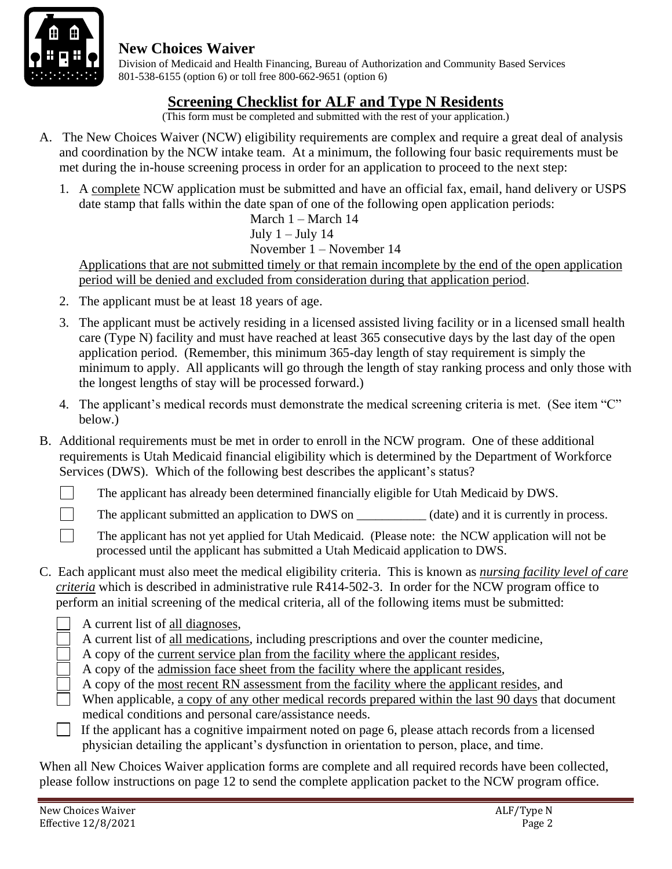

 Division of Medicaid and Health Financing, Bureau of Authorization and Community Based Services 801-538-6155 (option 6) or toll free 800-662-9651 (option 6)

### **Screening Checklist for ALF and Type N Residents**

(This form must be completed and submitted with the rest of your application.)

- A. The New Choices Waiver (NCW) eligibility requirements are complex and require a great deal of analysis and coordination by the NCW intake team. At a minimum, the following four basic requirements must be met during the in-house screening process in order for an application to proceed to the next step:
	- 1. A complete NCW application must be submitted and have an official fax, email, hand delivery or USPS date stamp that falls within the date span of one of the following open application periods:

March 1 – March 14 July  $1 -$  July 14 November 1 – November 14

Applications that are not submitted timely or that remain incomplete by the end of the open application period will be denied and excluded from consideration during that application period.

- 2. The applicant must be at least 18 years of age.
- 3. The applicant must be actively residing in a licensed assisted living facility or in a licensed small health care (Type N) facility and must have reached at least 365 consecutive days by the last day of the open application period. (Remember, this minimum 365-day length of stay requirement is simply the minimum to apply. All applicants will go through the length of stay ranking process and only those with the longest lengths of stay will be processed forward.)
- 4. The applicant's medical records must demonstrate the medical screening criteria is met. (See item "C" below.)
- B. Additional requirements must be met in order to enroll in the NCW program. One of these additional requirements is Utah Medicaid financial eligibility which is determined by the Department of Workforce Services (DWS). Which of the following best describes the applicant's status?
	- The applicant has already been determined financially eligible for Utah Medicaid by DWS.

The applicant submitted an application to DWS on (date) and it is currently in process.

The applicant has not yet applied for Utah Medicaid. (Please note: the NCW application will not be processed until the applicant has submitted a Utah Medicaid application to DWS.

- C. Each applicant must also meet the medical eligibility criteria. This is known as *nursing facility level of care criteria* which is described in administrative rule R414-502-3. In order for the NCW program office to perform an initial screening of the medical criteria, all of the following items must be submitted:
	- A current list of all diagnoses,

A current list of all medications, including prescriptions and over the counter medicine,

A copy of the current service plan from the facility where the applicant resides,

- A copy of the admission face sheet from the facility where the applicant resides,
- A copy of the most recent RN assessment from the facility where the applicant resides, and
- When applicable, a copy of any other medical records prepared within the last 90 days that document medical conditions and personal care/assistance needs.
- If the applicant has a cognitive impairment noted on page 6, please attach records from a licensed physician detailing the applicant's dysfunction in orientation to person, place, and time.

When all New Choices Waiver application forms are complete and all required records have been collected, please follow instructions on page 12 to send the complete application packet to the NCW program office.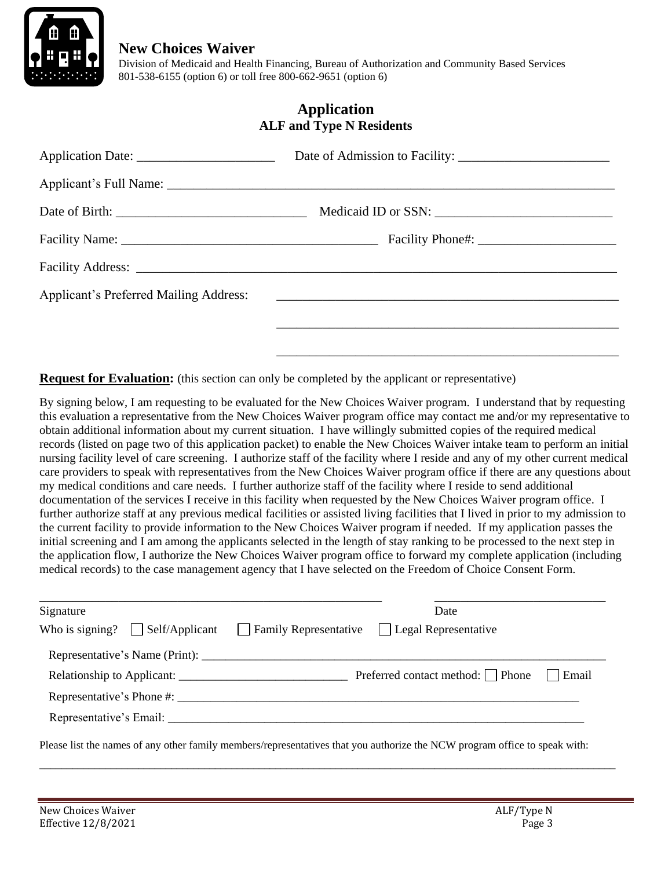

 Division of Medicaid and Health Financing, Bureau of Authorization and Community Based Services 801-538-6155 (option 6) or toll free 800-662-9651 (option 6)

#### **Application ALF and Type N Residents**

| Applicant's Preferred Mailing Address: 2008. 2009. [2016] Applicant's Preferred Mailing Address: |
|--------------------------------------------------------------------------------------------------|
|                                                                                                  |
|                                                                                                  |

**Request for Evaluation:** (this section can only be completed by the applicant or representative)

By signing below, I am requesting to be evaluated for the New Choices Waiver program. I understand that by requesting this evaluation a representative from the New Choices Waiver program office may contact me and/or my representative to obtain additional information about my current situation. I have willingly submitted copies of the required medical records (listed on page two of this application packet) to enable the New Choices Waiver intake team to perform an initial nursing facility level of care screening. I authorize staff of the facility where I reside and any of my other current medical care providers to speak with representatives from the New Choices Waiver program office if there are any questions about my medical conditions and care needs. I further authorize staff of the facility where I reside to send additional documentation of the services I receive in this facility when requested by the New Choices Waiver program office. I further authorize staff at any previous medical facilities or assisted living facilities that I lived in prior to my admission to the current facility to provide information to the New Choices Waiver program if needed. If my application passes the initial screening and I am among the applicants selected in the length of stay ranking to be processed to the next step in the application flow, I authorize the New Choices Waiver program office to forward my complete application (including medical records) to the case management agency that I have selected on the Freedom of Choice Consent Form.

| Signature                             | Date                                                     |
|---------------------------------------|----------------------------------------------------------|
| Who is signing? $\Box$ Self/Applicant | $\Box$ Family Representative $\Box$ Legal Representative |
|                                       |                                                          |
|                                       | Preferred contact method:   Phone<br>Email               |
|                                       |                                                          |
|                                       |                                                          |

\_\_\_\_\_\_\_\_\_\_\_\_\_\_\_\_\_\_\_\_\_\_\_\_\_\_\_\_\_\_\_\_\_\_\_\_\_\_\_\_\_\_\_\_\_\_\_\_\_\_\_\_\_\_\_\_\_\_\_\_\_\_\_\_\_\_\_\_\_\_\_\_\_\_\_\_\_\_\_\_\_\_\_\_\_\_\_\_\_\_\_\_\_\_\_\_\_\_\_\_\_\_\_\_\_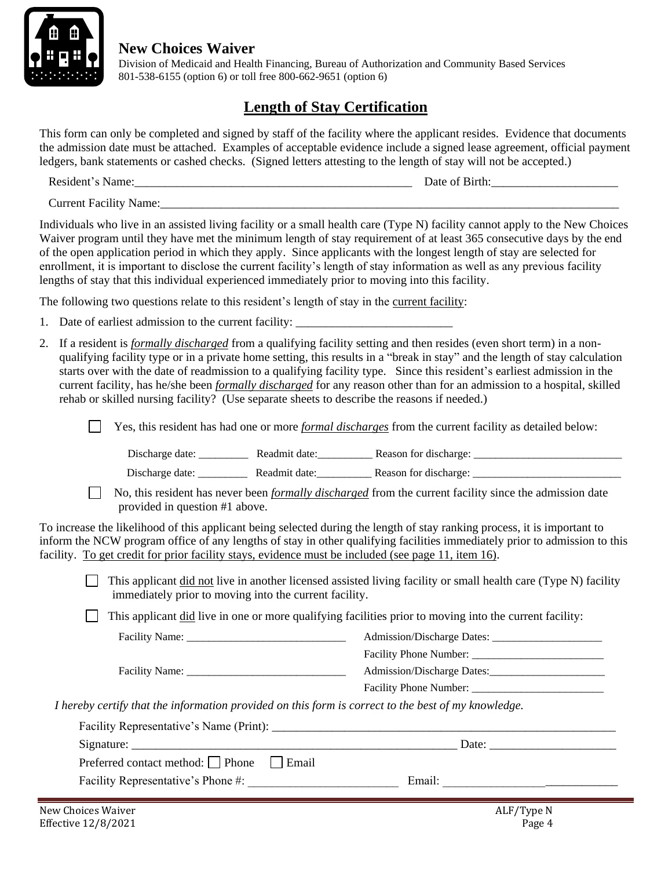

 Division of Medicaid and Health Financing, Bureau of Authorization and Community Based Services 801-538-6155 (option 6) or toll free 800-662-9651 (option 6)

# **Length of Stay Certification**

This form can only be completed and signed by staff of the facility where the applicant resides. Evidence that documents the admission date must be attached. Examples of acceptable evidence include a signed lease agreement, official payment ledgers, bank statements or cashed checks. (Signed letters attesting to the length of stay will not be accepted.)

Resident's Name:\_\_\_\_\_\_\_\_\_\_\_\_\_\_\_\_\_\_\_\_\_\_\_\_\_\_\_\_\_\_\_\_\_\_\_\_\_\_\_\_\_\_\_\_\_\_ Date of Birth:\_\_\_\_\_\_\_\_\_\_\_\_\_\_\_\_\_\_\_\_\_

Current Facility Name:

Individuals who live in an assisted living facility or a small health care (Type N) facility cannot apply to the New Choices Waiver program until they have met the minimum length of stay requirement of at least 365 consecutive days by the end of the open application period in which they apply. Since applicants with the longest length of stay are selected for enrollment, it is important to disclose the current facility's length of stay information as well as any previous facility lengths of stay that this individual experienced immediately prior to moving into this facility.

The following two questions relate to this resident's length of stay in the current facility:

- 1. Date of earliest admission to the current facility:
- 2. If a resident is *formally discharged* from a qualifying facility setting and then resides (even short term) in a nonqualifying facility type or in a private home setting, this results in a "break in stay" and the length of stay calculation starts over with the date of readmission to a qualifying facility type. Since this resident's earliest admission in the current facility, has he/she been *formally discharged* for any reason other than for an admission to a hospital, skilled rehab or skilled nursing facility? (Use separate sheets to describe the reasons if needed.)

| $\Box$ Yes, this resident has had one or more <i>formal discharges</i> from the current facility as detailed below: |
|---------------------------------------------------------------------------------------------------------------------|
|---------------------------------------------------------------------------------------------------------------------|

Discharge date: \_\_\_\_\_\_\_\_\_\_\_ Readmit date: \_\_\_\_\_\_\_\_\_\_ Reason for discharge: \_\_\_\_\_\_\_\_\_\_\_\_\_\_\_\_\_\_\_\_\_\_\_\_\_

Discharge date: <br>
Readmit date: <br>
Reason for discharge:

 No, this resident has never been *formally discharged* from the current facility since the admission date provided in question #1 above.

To increase the likelihood of this applicant being selected during the length of stay ranking process, it is important to inform the NCW program office of any lengths of stay in other qualifying facilities immediately prior to admission to this facility. To get credit for prior facility stays, evidence must be included (see page 11, item 16).

 $\Box$  This applicant did not live in another licensed assisted living facility or small health care (Type N) facility immediately prior to moving into the current facility.

 $\Box$  This applicant did live in one or more qualifying facilities prior to moving into the current facility:

|                                                                                           | Facility Phone Number:     |
|-------------------------------------------------------------------------------------------|----------------------------|
| Facility Name:                                                                            | Admission/Discharge Dates: |
|                                                                                           | Facility Phone Number:     |
| certify that the information provided on this form is correct to the hest of my knowledge |                            |

*I hereby certify that the information provided on this form is correct to the best of my knowledge.*

|                                                   | Date:  |
|---------------------------------------------------|--------|
| Preferred contact method: $\Box$ Phone<br>  Email |        |
| Facility Representative's Phone #:                | Email: |
|                                                   |        |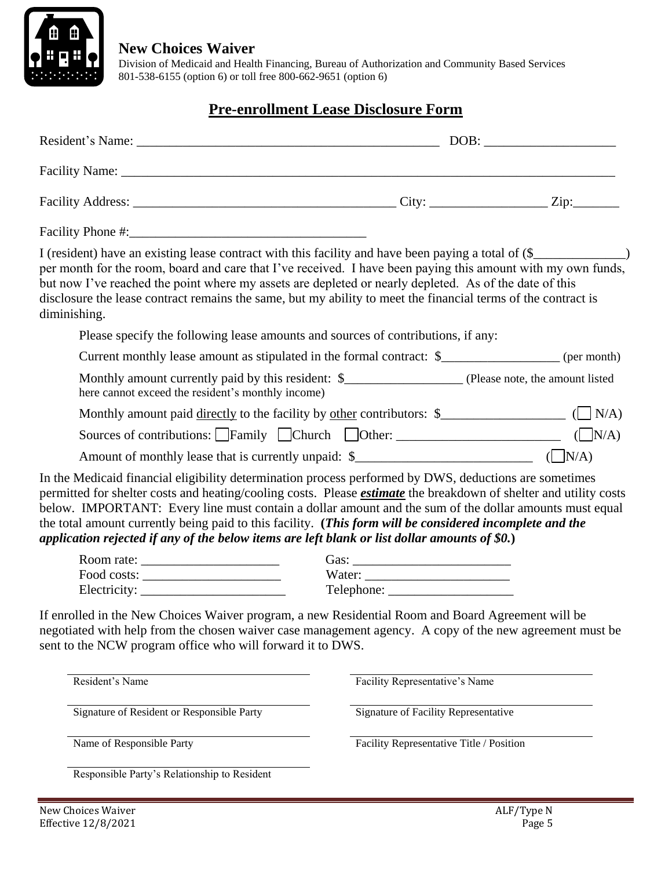

 Division of Medicaid and Health Financing, Bureau of Authorization and Community Based Services 801-538-6155 (option 6) or toll free 800-662-9651 (option 6)

#### **Pre-enrollment Lease Disclosure Form**

| I (resident) have an existing lease contract with this facility and have been paying a total of (\$<br>per month for the room, board and care that I've received. I have been paying this amount with my own funds,<br>but now I've reached the point where my assets are depleted or nearly depleted. As of the date of this<br>disclosure the lease contract remains the same, but my ability to meet the financial terms of the contract is<br>diminishing.                                                                                            |                                          |            |
|-----------------------------------------------------------------------------------------------------------------------------------------------------------------------------------------------------------------------------------------------------------------------------------------------------------------------------------------------------------------------------------------------------------------------------------------------------------------------------------------------------------------------------------------------------------|------------------------------------------|------------|
| Please specify the following lease amounts and sources of contributions, if any:                                                                                                                                                                                                                                                                                                                                                                                                                                                                          |                                          |            |
| Current monthly lease amount as stipulated in the formal contract: \$__________________ (per month)                                                                                                                                                                                                                                                                                                                                                                                                                                                       |                                          |            |
| here cannot exceed the resident's monthly income)                                                                                                                                                                                                                                                                                                                                                                                                                                                                                                         |                                          |            |
|                                                                                                                                                                                                                                                                                                                                                                                                                                                                                                                                                           |                                          |            |
| Sources of contributions: $\Box$ Family $\Box$ Church $\Box$ Other: $\Box$ ( $\Box$ N/A)                                                                                                                                                                                                                                                                                                                                                                                                                                                                  |                                          |            |
|                                                                                                                                                                                                                                                                                                                                                                                                                                                                                                                                                           |                                          |            |
| In the Medicaid financial eligibility determination process performed by DWS, deductions are sometimes<br>permitted for shelter costs and heating/cooling costs. Please <i>estimate</i> the breakdown of shelter and utility costs<br>below. IMPORTANT: Every line must contain a dollar amount and the sum of the dollar amounts must equal<br>the total amount currently being paid to this facility. (This form will be considered incomplete and the<br>application rejected if any of the below items are left blank or list dollar amounts of \$0.) |                                          |            |
| Room rate: $\frac{1}{\sqrt{1-\frac{1}{2}} \cdot \frac{1}{2}}$                                                                                                                                                                                                                                                                                                                                                                                                                                                                                             |                                          |            |
| $\text{Food costs:}\_\_$                                                                                                                                                                                                                                                                                                                                                                                                                                                                                                                                  |                                          |            |
| Electricity:                                                                                                                                                                                                                                                                                                                                                                                                                                                                                                                                              |                                          |            |
| If enrolled in the New Choices Waiver program, a new Residential Room and Board Agreement will be<br>negotiated with help from the chosen waiver case management agency. A copy of the new agreement must be<br>sent to the NCW program office who will forward it to DWS.                                                                                                                                                                                                                                                                                |                                          |            |
| Resident's Name                                                                                                                                                                                                                                                                                                                                                                                                                                                                                                                                           | Facility Representative's Name           |            |
| Signature of Resident or Responsible Party                                                                                                                                                                                                                                                                                                                                                                                                                                                                                                                | Signature of Facility Representative     |            |
| Name of Responsible Party                                                                                                                                                                                                                                                                                                                                                                                                                                                                                                                                 | Facility Representative Title / Position |            |
| Responsible Party's Relationship to Resident                                                                                                                                                                                                                                                                                                                                                                                                                                                                                                              |                                          |            |
| New Choices Waiver                                                                                                                                                                                                                                                                                                                                                                                                                                                                                                                                        |                                          | ALF/Type N |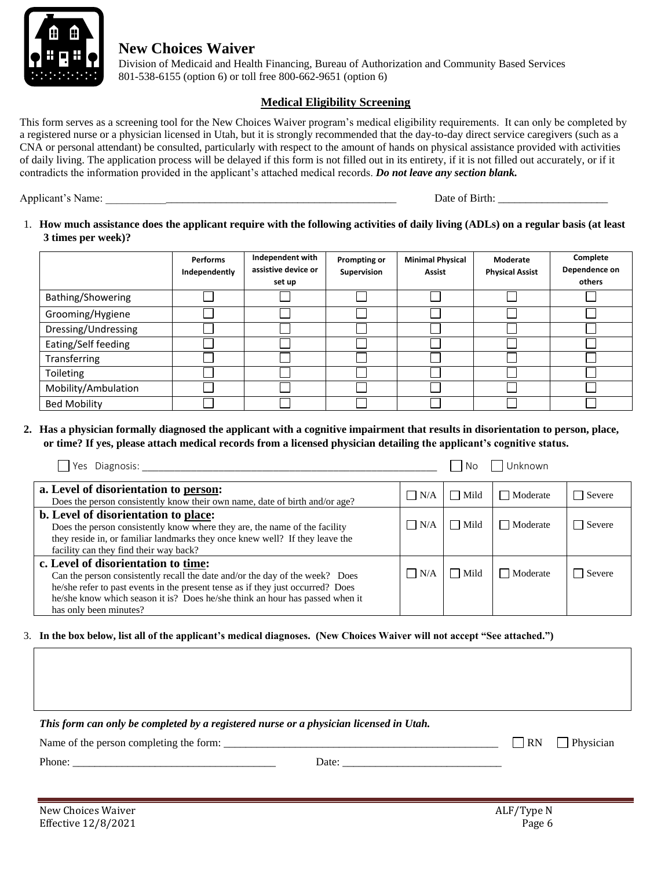

 Division of Medicaid and Health Financing, Bureau of Authorization and Community Based Services 801-538-6155 (option 6) or toll free 800-662-9651 (option 6)

#### **Medical Eligibility Screening**

This form serves as a screening tool for the New Choices Waiver program's medical eligibility requirements. It can only be completed by a registered nurse or a physician licensed in Utah, but it is strongly recommended that the day-to-day direct service caregivers (such as a CNA or personal attendant) be consulted, particularly with respect to the amount of hands on physical assistance provided with activities of daily living. The application process will be delayed if this form is not filled out in its entirety, if it is not filled out accurately, or if it contradicts the information provided in the applicant's attached medical records. *Do not leave any section blank.*

Applicant's Name: \_\_\_\_\_\_\_\_\_\_\_\_\_\_\_\_\_\_\_\_\_\_\_\_\_\_\_\_\_\_\_\_\_\_\_\_\_\_\_\_\_\_\_\_\_\_\_\_\_\_\_\_\_ Date of Birth: \_\_\_\_\_\_\_\_\_\_\_\_\_\_\_\_\_\_\_\_

1. **How much assistance does the applicant require with the following activities of daily living (ADLs) on a regular basis (at least 3 times per week)?**

|                     | <b>Performs</b><br>Independently | Independent with<br>assistive device or<br>set up | Prompting or<br>Supervision | <b>Minimal Physical</b><br><b>Assist</b> | Moderate<br><b>Physical Assist</b> | Complete<br>Dependence on<br>others |
|---------------------|----------------------------------|---------------------------------------------------|-----------------------------|------------------------------------------|------------------------------------|-------------------------------------|
| Bathing/Showering   |                                  |                                                   |                             |                                          |                                    |                                     |
| Grooming/Hygiene    |                                  |                                                   |                             |                                          |                                    |                                     |
| Dressing/Undressing |                                  |                                                   |                             |                                          |                                    |                                     |
| Eating/Self feeding |                                  |                                                   |                             |                                          |                                    |                                     |
| Transferring        |                                  |                                                   |                             |                                          |                                    |                                     |
| Toileting           |                                  |                                                   |                             |                                          |                                    |                                     |
| Mobility/Ambulation |                                  |                                                   |                             |                                          |                                    |                                     |
| <b>Bed Mobility</b> |                                  |                                                   |                             |                                          |                                    |                                     |

**2. Has a physician formally diagnosed the applicant with a cognitive impairment that results in disorientation to person, place, or time? If yes, please attach medical records from a licensed physician detailing the applicant's cognitive status.**

| Yes Diagnosis:                                                                                                                                                                                                                                                                                                   |            | No          | Unknown         |        |
|------------------------------------------------------------------------------------------------------------------------------------------------------------------------------------------------------------------------------------------------------------------------------------------------------------------|------------|-------------|-----------------|--------|
| a. Level of disorientation to person:<br>Does the person consistently know their own name, date of birth and/or age?                                                                                                                                                                                             | $\Box$ N/A | Mild        | $\Box$ Moderate | Severe |
| b. Level of disorientation to place:<br>Does the person consistently know where they are, the name of the facility<br>they reside in, or familiar landmarks they once knew well? If they leave the<br>facility can they find their way back?                                                                     | $\Box$ N/A | $\Box$ Mild | Moderate        | Severe |
| c. Level of disorientation to time:<br>Can the person consistently recall the date and/or the day of the week? Does<br>he/she refer to past events in the present tense as if they just occurred? Does<br>he/she know which season it is? Does he/she think an hour has passed when it<br>has only been minutes? | $\Box$ N/A | $\Box$ Mild | Moderate        | Severe |

3. **In the box below, list all of the applicant's medical diagnoses. (New Choices Waiver will not accept "See attached.")**

*This form can only be completed by a registered nurse or a physician licensed in Utah.* Name of the person completing the form: \_\_\_\_\_\_\_\_\_\_\_\_\_\_\_\_\_\_\_\_\_\_\_\_\_\_\_\_\_\_\_\_\_\_\_\_\_\_\_\_\_\_\_\_\_\_\_\_\_\_ RN Physician Phone: \_\_\_\_\_\_\_\_\_\_\_\_\_\_\_\_\_\_\_\_\_\_\_\_\_\_\_\_\_\_\_\_\_\_\_\_\_ Date: \_\_\_\_\_\_\_\_\_\_\_\_\_\_\_\_\_\_\_\_\_\_\_\_\_\_\_\_\_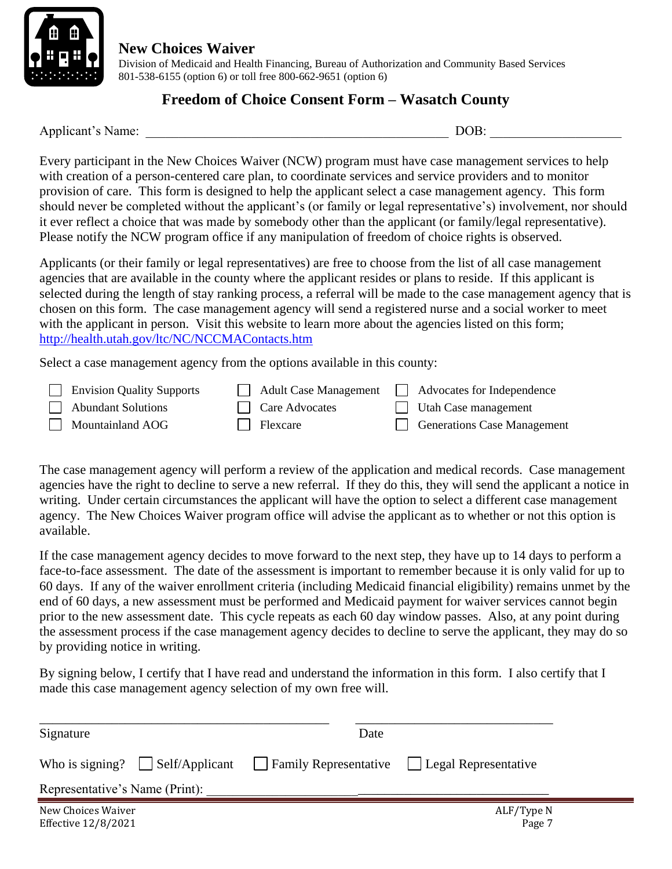

 Division of Medicaid and Health Financing, Bureau of Authorization and Community Based Services 801-538-6155 (option 6) or toll free 800-662-9651 (option 6)

#### **Freedom of Choice Consent Form – Wasatch County**

Applicant's Name: \_\_\_\_\_\_\_\_\_\_\_\_\_\_\_\_\_\_\_\_\_\_\_\_\_\_\_\_\_\_\_\_\_\_\_\_\_\_\_\_\_\_\_\_\_\_ DOB: \_\_\_\_\_\_\_\_\_\_\_\_\_\_\_\_\_\_\_\_

Every participant in the New Choices Waiver (NCW) program must have case management services to help with creation of a person-centered care plan, to coordinate services and service providers and to monitor provision of care. This form is designed to help the applicant select a case management agency. This form should never be completed without the applicant's (or family or legal representative's) involvement, nor should it ever reflect a choice that was made by somebody other than the applicant (or family/legal representative). Please notify the NCW program office if any manipulation of freedom of choice rights is observed.

Applicants (or their family or legal representatives) are free to choose from the list of all case management agencies that are available in the county where the applicant resides or plans to reside. If this applicant is selected during the length of stay ranking process, a referral will be made to the case management agency that is chosen on this form. The case management agency will send a registered nurse and a social worker to meet with the applicant in person. Visit this website to learn more about the agencies listed on this form; <http://health.utah.gov/ltc/NC/NCCMAContacts.htm>

Select a case management agency from the options available in this county:

| <b>Envision Quality Supports</b> | <b>Adult Case Management</b> | Advocates for Independence        |
|----------------------------------|------------------------------|-----------------------------------|
| Abundant Solutions               | <b>Care Advocates</b>        | $\Box$ Utah Case management       |
| $\Box$ Mountainland AOG          | Flexcare                     | <b>Confidence</b> Case Management |

The case management agency will perform a review of the application and medical records. Case management agencies have the right to decline to serve a new referral. If they do this, they will send the applicant a notice in writing. Under certain circumstances the applicant will have the option to select a different case management agency. The New Choices Waiver program office will advise the applicant as to whether or not this option is available.

If the case management agency decides to move forward to the next step, they have up to 14 days to perform a face-to-face assessment. The date of the assessment is important to remember because it is only valid for up to 60 days. If any of the waiver enrollment criteria (including Medicaid financial eligibility) remains unmet by the end of 60 days, a new assessment must be performed and Medicaid payment for waiver services cannot begin prior to the new assessment date. This cycle repeats as each 60 day window passes. Also, at any point during the assessment process if the case management agency decides to decline to serve the applicant, they may do so by providing notice in writing.

By signing below, I certify that I have read and understand the information in this form. I also certify that I made this case management agency selection of my own free will.

| Signature                                 |                                        | Date |                                              |
|-------------------------------------------|----------------------------------------|------|----------------------------------------------|
|                                           | Who is signing? $\vert$ Self/Applicant |      | Family Representative   Legal Representative |
| Representative's Name (Print):            |                                        |      |                                              |
| New Choices Waiver<br>Effective 12/8/2021 |                                        |      | ALF/Type N<br>Page 7                         |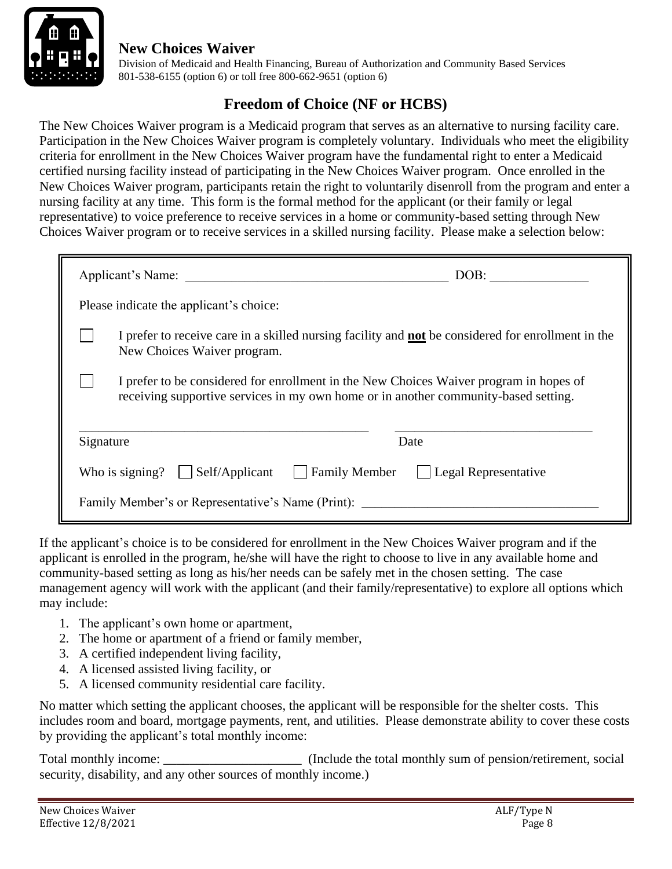

 Division of Medicaid and Health Financing, Bureau of Authorization and Community Based Services 801-538-6155 (option 6) or toll free 800-662-9651 (option 6)

# **Freedom of Choice (NF or HCBS)**

The New Choices Waiver program is a Medicaid program that serves as an alternative to nursing facility care. Participation in the New Choices Waiver program is completely voluntary. Individuals who meet the eligibility criteria for enrollment in the New Choices Waiver program have the fundamental right to enter a Medicaid certified nursing facility instead of participating in the New Choices Waiver program. Once enrolled in the New Choices Waiver program, participants retain the right to voluntarily disenroll from the program and enter a nursing facility at any time. This form is the formal method for the applicant (or their family or legal representative) to voice preference to receive services in a home or community-based setting through New Choices Waiver program or to receive services in a skilled nursing facility. Please make a selection below:

| Applicant's Name:                                                                                                                                                             | DOB:                 |  |
|-------------------------------------------------------------------------------------------------------------------------------------------------------------------------------|----------------------|--|
| Please indicate the applicant's choice:                                                                                                                                       |                      |  |
| I prefer to receive care in a skilled nursing facility and <b>not</b> be considered for enrollment in the<br>New Choices Waiver program.                                      |                      |  |
| I prefer to be considered for enrollment in the New Choices Waiver program in hopes of<br>receiving supportive services in my own home or in another community-based setting. |                      |  |
| Signature                                                                                                                                                                     | Date                 |  |
| Self/Applicant<br><b>Family Member</b><br>Who is signing?                                                                                                                     | Legal Representative |  |
| Family Member's or Representative's Name (Print):                                                                                                                             |                      |  |

If the applicant's choice is to be considered for enrollment in the New Choices Waiver program and if the applicant is enrolled in the program, he/she will have the right to choose to live in any available home and community-based setting as long as his/her needs can be safely met in the chosen setting. The case management agency will work with the applicant (and their family/representative) to explore all options which may include:

- 1. The applicant's own home or apartment,
- 2. The home or apartment of a friend or family member,
- 3. A certified independent living facility,
- 4. A licensed assisted living facility, or
- 5. A licensed community residential care facility.

No matter which setting the applicant chooses, the applicant will be responsible for the shelter costs. This includes room and board, mortgage payments, rent, and utilities. Please demonstrate ability to cover these costs by providing the applicant's total monthly income:

Total monthly income: \_\_\_\_\_\_\_\_\_\_\_\_\_\_\_\_\_\_\_\_\_\_\_\_ (Include the total monthly sum of pension/retirement, social security, disability, and any other sources of monthly income.)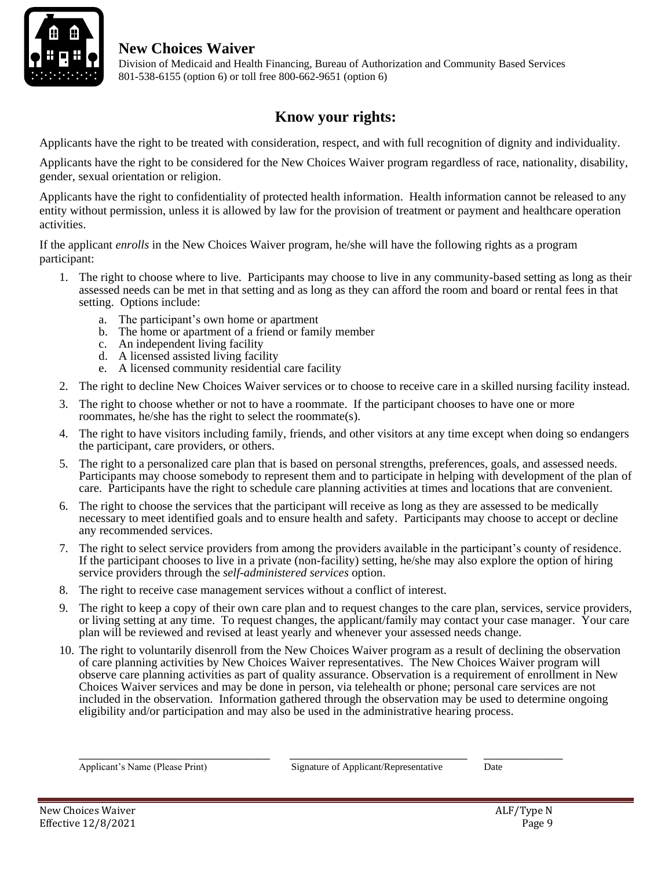

 Division of Medicaid and Health Financing, Bureau of Authorization and Community Based Services 801-538-6155 (option 6) or toll free 800-662-9651 (option 6)

# **Know your rights:**

Applicants have the right to be treated with consideration, respect, and with full recognition of dignity and individuality.

Applicants have the right to be considered for the New Choices Waiver program regardless of race, nationality, disability, gender, sexual orientation or religion.

Applicants have the right to confidentiality of protected health information. Health information cannot be released to any entity without permission, unless it is allowed by law for the provision of treatment or payment and healthcare operation activities.

If the applicant *enrolls* in the New Choices Waiver program, he/she will have the following rights as a program participant:

- 1. The right to choose where to live. Participants may choose to live in any community-based setting as long as their assessed needs can be met in that setting and as long as they can afford the room and board or rental fees in that setting. Options include:
	- a. The participant's own home or apartment
	- b. The home or apartment of a friend or family member
	- c. An independent living facility
	- d. A licensed assisted living facility
	- e. A licensed community residential care facility
- 2. The right to decline New Choices Waiver services or to choose to receive care in a skilled nursing facility instead.
- 3. The right to choose whether or not to have a roommate. If the participant chooses to have one or more roommates, he/she has the right to select the roommate(s).
- 4. The right to have visitors including family, friends, and other visitors at any time except when doing so endangers the participant, care providers, or others.
- 5. The right to a personalized care plan that is based on personal strengths, preferences, goals, and assessed needs. Participants may choose somebody to represent them and to participate in helping with development of the plan of care. Participants have the right to schedule care planning activities at times and locations that are convenient.
- 6. The right to choose the services that the participant will receive as long as they are assessed to be medically necessary to meet identified goals and to ensure health and safety. Participants may choose to accept or decline any recommended services.
- 7. The right to select service providers from among the providers available in the participant's county of residence. If the participant chooses to live in a private (non-facility) setting, he/she may also explore the option of hiring service providers through the *self-administered services* option.
- 8. The right to receive case management services without a conflict of interest.
- 9. The right to keep a copy of their own care plan and to request changes to the care plan, services, service providers, or living setting at any time. To request changes, the applicant/family may contact your case manager. Your care plan will be reviewed and revised at least yearly and whenever your assessed needs change.
- 10. The right to voluntarily disenroll from the New Choices Waiver program as a result of declining the observation of care planning activities by New Choices Waiver representatives. The New Choices Waiver program will observe care planning activities as part of quality assurance. Observation is a requirement of enrollment in New Choices Waiver services and may be done in person, via telehealth or phone; personal care services are not included in the observation. Information gathered through the observation may be used to determine ongoing eligibility and/or participation and may also be used in the administrative hearing process.

\_\_\_\_\_\_\_\_\_\_\_\_\_\_\_\_\_\_\_\_\_\_\_\_\_\_\_\_\_ \_\_\_\_\_\_\_\_\_\_\_\_\_\_\_\_\_\_\_\_\_\_\_\_\_\_\_ \_\_\_\_\_\_\_\_\_\_\_\_

Applicant's Name (Please Print) Signature of Applicant/Representative Date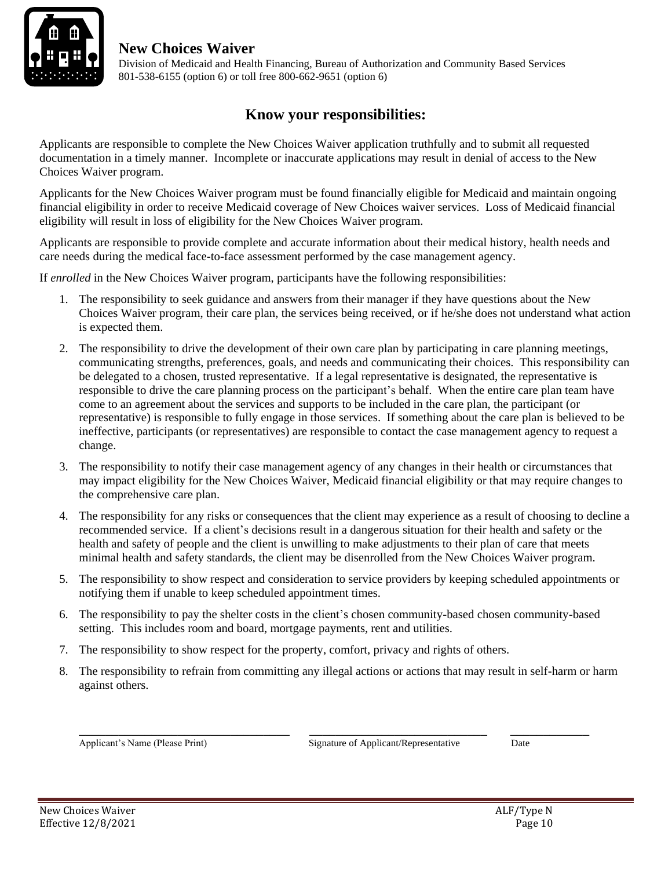

 Division of Medicaid and Health Financing, Bureau of Authorization and Community Based Services 801-538-6155 (option 6) or toll free 800-662-9651 (option 6)

### **Know your responsibilities:**

Applicants are responsible to complete the New Choices Waiver application truthfully and to submit all requested documentation in a timely manner. Incomplete or inaccurate applications may result in denial of access to the New Choices Waiver program.

Applicants for the New Choices Waiver program must be found financially eligible for Medicaid and maintain ongoing financial eligibility in order to receive Medicaid coverage of New Choices waiver services. Loss of Medicaid financial eligibility will result in loss of eligibility for the New Choices Waiver program.

Applicants are responsible to provide complete and accurate information about their medical history, health needs and care needs during the medical face-to-face assessment performed by the case management agency.

If *enrolled* in the New Choices Waiver program, participants have the following responsibilities:

- 1. The responsibility to seek guidance and answers from their manager if they have questions about the New Choices Waiver program, their care plan, the services being received, or if he/she does not understand what action is expected them.
- 2. The responsibility to drive the development of their own care plan by participating in care planning meetings, communicating strengths, preferences, goals, and needs and communicating their choices. This responsibility can be delegated to a chosen, trusted representative. If a legal representative is designated, the representative is responsible to drive the care planning process on the participant's behalf. When the entire care plan team have come to an agreement about the services and supports to be included in the care plan, the participant (or representative) is responsible to fully engage in those services. If something about the care plan is believed to be ineffective, participants (or representatives) are responsible to contact the case management agency to request a change.
- 3. The responsibility to notify their case management agency of any changes in their health or circumstances that may impact eligibility for the New Choices Waiver, Medicaid financial eligibility or that may require changes to the comprehensive care plan.
- 4. The responsibility for any risks or consequences that the client may experience as a result of choosing to decline a recommended service. If a client's decisions result in a dangerous situation for their health and safety or the health and safety of people and the client is unwilling to make adjustments to their plan of care that meets minimal health and safety standards, the client may be disenrolled from the New Choices Waiver program.
- 5. The responsibility to show respect and consideration to service providers by keeping scheduled appointments or notifying them if unable to keep scheduled appointment times.
- 6. The responsibility to pay the shelter costs in the client's chosen community-based chosen community-based setting. This includes room and board, mortgage payments, rent and utilities.
- 7. The responsibility to show respect for the property, comfort, privacy and rights of others.
- 8. The responsibility to refrain from committing any illegal actions or actions that may result in self-harm or harm against others.

\_\_\_\_\_\_\_\_\_\_\_\_\_\_\_\_\_\_\_\_\_\_\_\_\_\_\_\_\_\_\_\_ \_\_\_\_\_\_\_\_\_\_\_\_\_\_\_\_\_\_\_\_\_\_\_\_\_\_\_ \_\_\_\_\_\_\_\_\_\_\_\_

Applicant's Name (Please Print) Signature of Applicant/Representative Date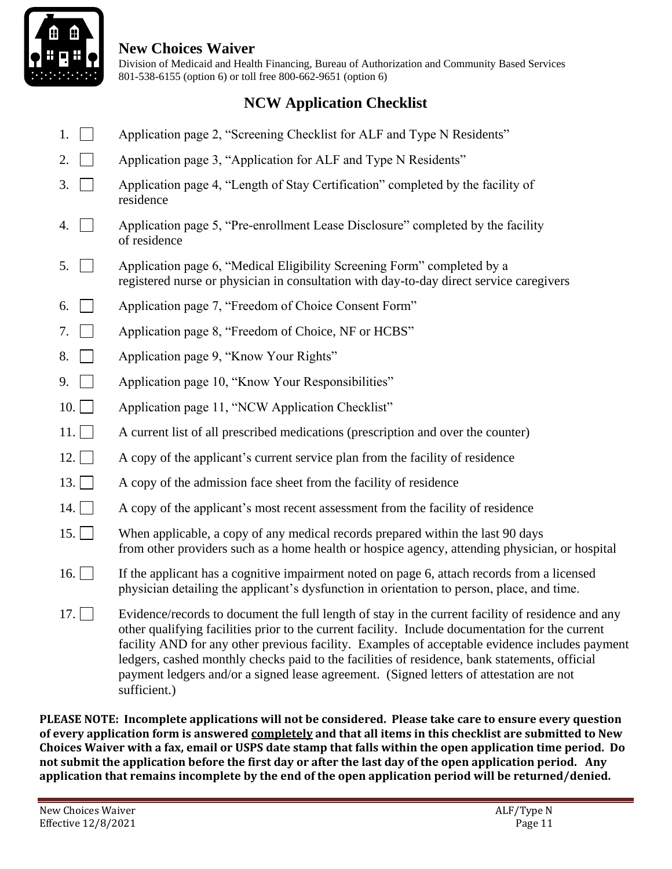

 Division of Medicaid and Health Financing, Bureau of Authorization and Community Based Services 801-538-6155 (option 6) or toll free 800-662-9651 (option 6)

# **NCW Application Checklist**

- 1. Application page 2, "Screening Checklist for ALF and Type N Residents"
- 2.  $\Box$  Application page 3, "Application for ALF and Type N Residents"
- 3. Application page 4, "Length of Stay Certification" completed by the facility of residence
- 4.  $\Box$  Application page 5, "Pre-enrollment Lease Disclosure" completed by the facility of residence
- 5. Application page 6, "Medical Eligibility Screening Form" completed by a registered nurse or physician in consultation with day-to-day direct service caregivers
- 6. Application page 7, "Freedom of Choice Consent Form"
- 7. Application page 8, "Freedom of Choice, NF or HCBS"
- 8. **Application page 9, "Know Your Rights"**
- 9. **Application page 10, "Know Your Responsibilities"**
- 10. Application page 11, "NCW Application Checklist"
- 11. A current list of all prescribed medications (prescription and over the counter)
- 12. A copy of the applicant's current service plan from the facility of residence
- 13.  $\Box$  A copy of the admission face sheet from the facility of residence
- 14.  $\Box$  A copy of the applicant's most recent assessment from the facility of residence
- 15. When applicable, a copy of any medical records prepared within the last 90 days from other providers such as a home health or hospice agency, attending physician, or hospital
- 16. If the applicant has a cognitive impairment noted on page 6, attach records from a licensed physician detailing the applicant's dysfunction in orientation to person, place, and time.
- 17.  $\Box$  Evidence/records to document the full length of stay in the current facility of residence and any other qualifying facilities prior to the current facility. Include documentation for the current facility AND for any other previous facility. Examples of acceptable evidence includes payment ledgers, cashed monthly checks paid to the facilities of residence, bank statements, official payment ledgers and/or a signed lease agreement. (Signed letters of attestation are not sufficient.)

**PLEASE NOTE: Incomplete applications will not be considered. Please take care to ensure every question of every application form is answered completely and that all items in this checklist are submitted to New Choices Waiver with a fax, email or USPS date stamp that falls within the open application time period. Do not submit the application before the first day or after the last day of the open application period. Any application that remains incomplete by the end of the open application period will be returned/denied.**